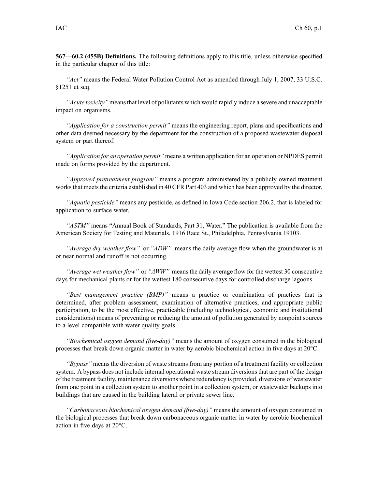**567—60.2 (455B) Definitions.** The following definitions apply to this title, unless otherwise specified in the particular chapter of this title:

*"Act"* means the Federal Water Pollution Control Act as amended through July 1, 2007, 33 U.S.C. §1251 et seq.

*"Acute toxicity"* meansthat level of pollutants which would rapidly induce <sup>a</sup> severe and unacceptable impact on organisms.

*"Application for <sup>a</sup> construction permit"* means the engineering report, plans and specifications and other data deemed necessary by the department for the construction of <sup>a</sup> proposed wastewater disposal system or par<sup>t</sup> thereof.

*"Application for an operation permit"* means <sup>a</sup> written application for an operation or NPDES permit made on forms provided by the department.

*"Approved pretreatment program"* means <sup>a</sup> program administered by <sup>a</sup> publicly owned treatment works that meets the criteria established in 40 CFR Part 403 and which has been approved by the director.

*"Aquatic pesticide"* means any pesticide, as defined in Iowa Code section 206.2, that is labeled for application to surface water.

*"ASTM"* means "Annual Book of Standards, Part 31, Water." The publication is available from the American Society for Testing and Materials, 1916 Race St., Philadelphia, Pennsylvania 19103.

*"Average dry weather flow"* or *"ADW"* means the daily average flow when the groundwater is at or near normal and runoff is not occurring.

*"Average wet weather flow"* or *"AWW"* meansthe daily average flow for the wettest 30 consecutive days for mechanical plants or for the wettest 180 consecutive days for controlled discharge lagoons.

*"Best managemen<sup>t</sup> practice (BMP)"* means <sup>a</sup> practice or combination of practices that is determined, after problem assessment, examination of alternative practices, and appropriate public participation, to be the most effective, practicable (including technological, economic and institutional considerations) means of preventing or reducing the amount of pollution generated by nonpoint sources to <sup>a</sup> level compatible with water quality goals.

*"Biochemical oxygen demand (five-day)"* means the amount of oxygen consumed in the biological processes that break down organic matter in water by aerobic biochemical action in five days at 20°C.

*"Bypass"* means the diversion of waste streams from any portion of <sup>a</sup> treatment facility or collection system. A bypass does not include internal operational waste stream diversionsthat are par<sup>t</sup> of the design of the treatment facility, maintenance diversions where redundancy is provided, diversions of wastewater from one point in <sup>a</sup> collection system to another point in <sup>a</sup> collection system, or wastewater backups into buildings that are caused in the building lateral or private sewer line.

*"Carbonaceous biochemical oxygen demand (five-day)"* means the amount of oxygen consumed in the biological processes that break down carbonaceous organic matter in water by aerobic biochemical action in five days at 20°C.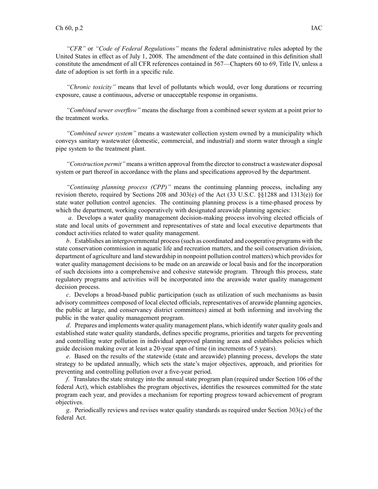*"CFR"* or *"Code of Federal Regulations"* means the federal administrative rules adopted by the United States in effect as of July 1, 2008. The amendment of the date contained in this definition shall constitute the amendment of all CFR references contained in 567—Chapters 60 to 69, Title IV, unless <sup>a</sup> date of adoption is set forth in <sup>a</sup> specific rule.

*"Chronic toxicity"* means that level of pollutants which would, over long durations or recurring exposure, cause <sup>a</sup> continuous, adverse or unacceptable response in organisms.

*"Combined sewer overflow"* means the discharge from <sup>a</sup> combined sewer system at <sup>a</sup> point prior to the treatment works.

*"Combined sewer system"* means <sup>a</sup> wastewater collection system owned by <sup>a</sup> municipality which conveys sanitary wastewater (domestic, commercial, and industrial) and storm water through <sup>a</sup> single pipe system to the treatment plant.

*"Construction permit"* means <sup>a</sup> written approval from the director to construct <sup>a</sup> wastewater disposal system or par<sup>t</sup> thereof in accordance with the plans and specifications approved by the department.

*"Continuing planning process (CPP)"* means the continuing planning process, including any revision thereto, required by Sections 208 and 303(e) of the Act (33 U.S.C. §§1288 and 1313(e)) for state water pollution control agencies. The continuing planning process is <sup>a</sup> time-phased process by which the department, working cooperatively with designated areawide planning agencies:

*<sup>a</sup>*. Develops <sup>a</sup> water quality managemen<sup>t</sup> decision-making process involving elected officials of state and local units of governmen<sup>t</sup> and representatives of state and local executive departments that conduct activities related to water quality management.

*b*. Establishes an intergovernmental process(such as coordinated and cooperative programs with the state conservation commission in aquatic life and recreation matters, and the soil conservation division, department of agriculture and land stewardship in nonpoint pollution control matters) which provides for water quality managemen<sup>t</sup> decisions to be made on an areawide or local basis and for the incorporation of such decisions into <sup>a</sup> comprehensive and cohesive statewide program. Through this process, state regulatory programs and activities will be incorporated into the areawide water quality managemen<sup>t</sup> decision process.

*<sup>c</sup>*. Develops <sup>a</sup> broad-based public participation (such as utilization of such mechanisms as basin advisory committees composed of local elected officials, representatives of areawide planning agencies, the public at large, and conservancy district committees) aimed at both informing and involving the public in the water quality managemen<sup>t</sup> program.

*d*. Prepares and implements water quality managemen<sup>t</sup> plans, which identify water quality goals and established state water quality standards, defines specific programs, priorities and targets for preventing and controlling water pollution in individual approved planning areas and establishes policies which guide decision making over at least <sup>a</sup> 20-year span of time (in increments of 5 years).

*<sup>e</sup>*. Based on the results of the statewide (state and areawide) planning process, develops the state strategy to be updated annually, which sets the state's major objectives, approach, and priorities for preventing and controlling pollution over <sup>a</sup> five-year period.

*f*. Translates the state strategy into the annual state program plan (required under Section 106 of the federal Act), which establishes the program objectives, identifies the resources committed for the state program each year, and provides <sup>a</sup> mechanism for reporting progress toward achievement of program objectives.

*g*. Periodically reviews and revises water quality standards as required under Section 303(c) of the federal Act.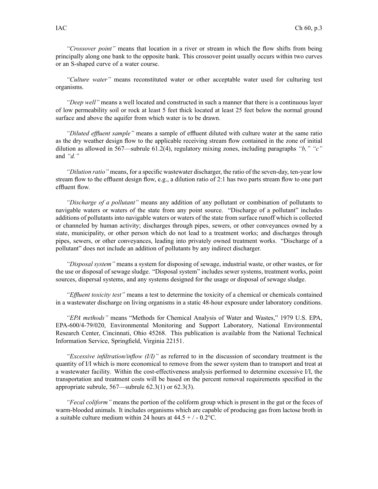*"Crossover point"* means that location in <sup>a</sup> river or stream in which the flow shifts from being principally along one bank to the opposite bank. This crossover point usually occurs within two curves or an S-shaped curve of <sup>a</sup> water course.

*"Culture water"* means reconstituted water or other acceptable water used for culturing test organisms.

*"Deep well"* means <sup>a</sup> well located and constructed in such <sup>a</sup> manner that there is <sup>a</sup> continuous layer of low permeability soil or rock at least 5 feet thick located at least 25 feet below the normal ground surface and above the aquifer from which water is to be drawn.

*"Diluted effluent sample"* means <sup>a</sup> sample of effluent diluted with culture water at the same ratio as the dry weather design flow to the applicable receiving stream flow contained in the zone of initial dilution as allowed in 567—subrule 61.2(4), regulatory mixing zones, including paragraphs *"b," "c"* and *"d."*

*"Dilution ratio"* means, for <sup>a</sup> specific wastewater discharger, the ratio of the seven-day, ten-year low stream flow to the effluent design flow, e.g., <sup>a</sup> dilution ratio of 2:1 has two parts stream flow to one par<sup>t</sup> effluent flow.

*"Discharge of <sup>a</sup> pollutant"* means any addition of any pollutant or combination of pollutants to navigable waters or waters of the state from any point source. "Discharge of <sup>a</sup> pollutant" includes additions of pollutants into navigable waters or waters of the state from surface runoff which is collected or channeled by human activity; discharges through pipes, sewers, or other conveyances owned by <sup>a</sup> state, municipality, or other person which do not lead to <sup>a</sup> treatment works; and discharges through pipes, sewers, or other conveyances, leading into privately owned treatment works. "Discharge of <sup>a</sup> pollutant" does not include an addition of pollutants by any indirect discharger.

*"Disposal system"* means <sup>a</sup> system for disposing of sewage, industrial waste, or other wastes, or for the use or disposal of sewage sludge. "Disposal system" includes sewer systems, treatment works, point sources, dispersal systems, and any systems designed for the usage or disposal of sewage sludge.

*"Effluent toxicity test"* means <sup>a</sup> test to determine the toxicity of <sup>a</sup> chemical or chemicals contained in <sup>a</sup> wastewater discharge on living organisms in <sup>a</sup> static 48-hour exposure under laboratory conditions.

*"EPA methods"* means "Methods for Chemical Analysis of Water and Wastes," 1979 U.S. EPA, EPA-600/4-79/020, Environmental Monitoring and Support Laboratory, National Environmental Research Center, Cincinnati, Ohio 45268. This publication is available from the National Technical Information Service, Springfield, Virginia 22151.

*"Excessive infiltration/inflow (I/I)"* as referred to in the discussion of secondary treatment is the quantity of I/I which is more economical to remove from the sewer system than to transport and treat at <sup>a</sup> wastewater facility. Within the cost-effectiveness analysis performed to determine excessive I/I, the transportation and treatment costs will be based on the percen<sup>t</sup> removal requirements specified in the appropriate subrule, 567—subrule 62.3(1) or 62.3(3).

*"Fecal coliform"* means the portion of the coliform group which is presen<sup>t</sup> in the gu<sup>t</sup> or the feces of warm-blooded animals. It includes organisms which are capable of producing gas from lactose broth in a suitable culture medium within 24 hours at  $44.5 + / -0.2$ °C.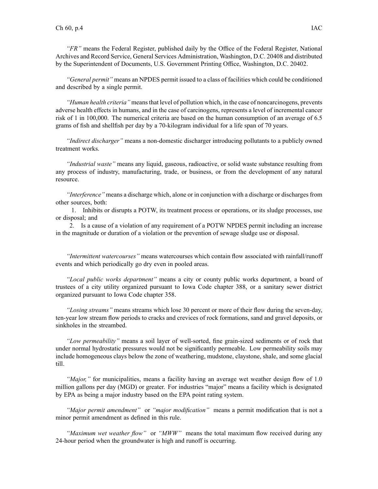*"FR"* means the Federal Register, published daily by the Office of the Federal Register, National Archives and Record Service, General Services Administration, Washington, D.C. 20408 and distributed by the Superintendent of Documents, U.S. Government Printing Office, Washington, D.C. 20402.

*"General permit"* means an NPDES permit issued to <sup>a</sup> class of facilities which could be conditioned and described by <sup>a</sup> single permit.

*"Human health criteria"* meansthat level of pollution which, in the case of noncarcinogens, prevents adverse health effects in humans, and in the case of carcinogens, represents <sup>a</sup> level of incremental cancer risk of 1 in 100,000. The numerical criteria are based on the human consumption of an average of 6.5 grams of fish and shellfish per day by <sup>a</sup> 70-kilogram individual for <sup>a</sup> life span of 70 years.

*"Indirect discharger"* means <sup>a</sup> non-domestic discharger introducing pollutants to <sup>a</sup> publicly owned treatment works.

*"Industrial waste"* means any liquid, gaseous, radioactive, or solid waste substance resulting from any process of industry, manufacturing, trade, or business, or from the development of any natural resource.

*"Interference"* means <sup>a</sup> discharge which, alone or in conjunction with <sup>a</sup> discharge or dischargesfrom other sources, both:

1. Inhibits or disrupts <sup>a</sup> POTW, its treatment process or operations, or its sludge processes, use or disposal; and

2. Is <sup>a</sup> cause of <sup>a</sup> violation of any requirement of <sup>a</sup> POTW NPDES permit including an increase in the magnitude or duration of <sup>a</sup> violation or the prevention of sewage sludge use or disposal.

*"Intermittent watercourses"* means watercourses which contain flow associated with rainfall/runoff events and which periodically go dry even in pooled areas.

*"Local public works department"* means <sup>a</sup> city or county public works department, <sup>a</sup> board of trustees of <sup>a</sup> city utility organized pursuan<sup>t</sup> to Iowa Code chapter 388, or <sup>a</sup> sanitary sewer district organized pursuan<sup>t</sup> to Iowa Code chapter 358.

*"Losing streams"* means streams which lose 30 percen<sup>t</sup> or more of their flow during the seven-day, ten-year low stream flow periods to cracks and crevices of rock formations, sand and gravel deposits, or sinkholes in the streambed.

*"Low permeability"* means <sup>a</sup> soil layer of well-sorted, fine grain-sized sediments or of rock that under normal hydrostatic pressures would not be significantly permeable. Low permeability soils may include homogeneous clays below the zone of weathering, mudstone, claystone, shale, and some glacial till.

*"Major,"* for municipalities, means <sup>a</sup> facility having an average wet weather design flow of 1.0 million gallons per day (MGD) or greater. For industries "major" means <sup>a</sup> facility which is designated by EPA as being <sup>a</sup> major industry based on the EPA point rating system.

*"Major permit amendment"* or *"major modification"* means <sup>a</sup> permit modification that is not <sup>a</sup> minor permit amendment as defined in this rule.

*"Maximum wet weather flow"* or *"MWW"* means the total maximum flow received during any 24-hour period when the groundwater is high and runoff is occurring.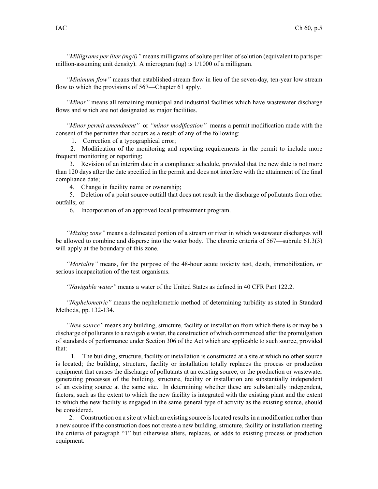*"Milligrams per liter (mg/l)"* means milligrams of solute per liter of solution (equivalent to parts per million-assuming unit density). A microgram (ug) is 1/1000 of <sup>a</sup> milligram.

*"Minimum flow"* means that established stream flow in lieu of the seven-day, ten-year low stream flow to which the provisions of 567—Chapter 61 apply.

*"Minor"* means all remaining municipal and industrial facilities which have wastewater discharge flows and which are not designated as major facilities.

*"Minor permit amendment"* or *"minor modification"* means <sup>a</sup> permit modification made with the consent of the permittee that occurs as <sup>a</sup> result of any of the following:

1. Correction of <sup>a</sup> typographical error;

2. Modification of the monitoring and reporting requirements in the permit to include more frequent monitoring or reporting;

3. Revision of an interim date in <sup>a</sup> compliance schedule, provided that the new date is not more than 120 days after the date specified in the permit and does not interfere with the attainment of the final compliance date;

4. Change in facility name or ownership;

5. Deletion of <sup>a</sup> point source outfall that does not result in the discharge of pollutants from other outfalls; or

6. Incorporation of an approved local pretreatment program.

*"Mixing zone"* means <sup>a</sup> delineated portion of <sup>a</sup> stream or river in which wastewater discharges will be allowed to combine and disperse into the water body. The chronic criteria of 567—subrule 61.3(3) will apply at the boundary of this zone.

*"Mortality"* means, for the purpose of the 48-hour acute toxicity test, death, immobilization, or serious incapacitation of the test organisms.

*"Navigable water"* means <sup>a</sup> water of the United States as defined in 40 CFR Part 122.2.

*"Nephelometric"* means the nephelometric method of determining turbidity as stated in Standard Methods, pp. 132-134.

*"New source"* means any building, structure, facility or installation from which there is or may be <sup>a</sup> discharge of pollutants to a navigable water, the construction of which commenced after the promulgation of standards of performance under Section 306 of the Act which are applicable to such source, provided that:

1. The building, structure, facility or installation is constructed at <sup>a</sup> site at which no other source is located; the building, structure, facility or installation totally replaces the process or production equipment that causes the discharge of pollutants at an existing source; or the production or wastewater generating processes of the building, structure, facility or installation are substantially independent of an existing source at the same site. In determining whether these are substantially independent, factors, such as the extent to which the new facility is integrated with the existing plant and the extent to which the new facility is engaged in the same general type of activity as the existing source, should be considered.

2. Construction on <sup>a</sup> site at which an existing source islocated resultsin <sup>a</sup> modification rather than <sup>a</sup> new source if the construction does not create <sup>a</sup> new building, structure, facility or installation meeting the criteria of paragraph "1" but otherwise alters, replaces, or adds to existing process or production equipment.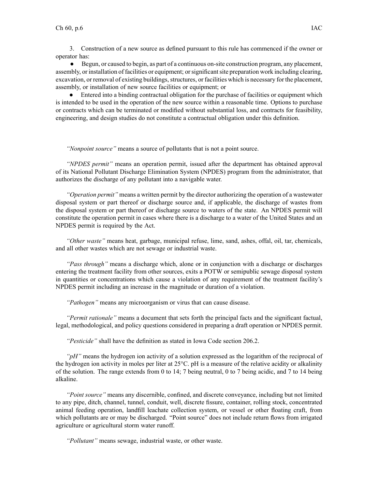3. Construction of <sup>a</sup> new source as defined pursuan<sup>t</sup> to this rule has commenced if the owner or operator has:

● Begun, or caused to begin, as par<sup>t</sup> of <sup>a</sup> continuous on-site construction program, any placement, assembly, or installation of facilities or equipment; orsignificantsite preparation work including clearing, excavation, or removal of existing buildings, structures, or facilities which is necessary for the placement, assembly, or installation of new source facilities or equipment; or

● Entered into <sup>a</sup> binding contractual obligation for the purchase of facilities or equipment which is intended to be used in the operation of the new source within <sup>a</sup> reasonable time. Options to purchase or contracts which can be terminated or modified without substantial loss, and contracts for feasibility, engineering, and design studies do not constitute <sup>a</sup> contractual obligation under this definition.

*"Nonpoint source"* means <sup>a</sup> source of pollutants that is not <sup>a</sup> point source.

*"NPDES permit"* means an operation permit, issued after the department has obtained approval of its National Pollutant Discharge Elimination System (NPDES) program from the administrator, that authorizes the discharge of any pollutant into <sup>a</sup> navigable water.

*"Operation permit"* means <sup>a</sup> written permit by the director authorizing the operation of <sup>a</sup> wastewater disposal system or par<sup>t</sup> thereof or discharge source and, if applicable, the discharge of wastes from the disposal system or par<sup>t</sup> thereof or discharge source to waters of the state. An NPDES permit will constitute the operation permit in cases where there is <sup>a</sup> discharge to <sup>a</sup> water of the United States and an NPDES permit is required by the Act.

*"Other waste"* means heat, garbage, municipal refuse, lime, sand, ashes, offal, oil, tar, chemicals, and all other wastes which are not sewage or industrial waste.

*"Pass through"* means <sup>a</sup> discharge which, alone or in conjunction with <sup>a</sup> discharge or discharges entering the treatment facility from other sources, exits <sup>a</sup> POTW or semipublic sewage disposal system in quantities or concentrations which cause <sup>a</sup> violation of any requirement of the treatment facility's NPDES permit including an increase in the magnitude or duration of <sup>a</sup> violation.

*"Pathogen"* means any microorganism or virus that can cause disease.

*"Permit rationale"* means <sup>a</sup> document that sets forth the principal facts and the significant factual, legal, methodological, and policy questions considered in preparing <sup>a</sup> draft operation or NPDES permit.

*"Pesticide"* shall have the definition as stated in Iowa Code section 206.2.

*"pH"* means the hydrogen ion activity of <sup>a</sup> solution expressed as the logarithm of the reciprocal of the hydrogen ion activity in moles per liter at 25°C. pH is <sup>a</sup> measure of the relative acidity or alkalinity of the solution. The range extends from 0 to 14; 7 being neutral, 0 to 7 being acidic, and 7 to 14 being alkaline.

*"Point source"* means any discernible, confined, and discrete conveyance, including but not limited to any pipe, ditch, channel, tunnel, conduit, well, discrete fissure, container, rolling stock, concentrated animal feeding operation, landfill leachate collection system, or vessel or other floating craft, from which pollutants are or may be discharged. "Point source" does not include return flows from irrigated agriculture or agricultural storm water runoff.

*"Pollutant"* means sewage, industrial waste, or other waste.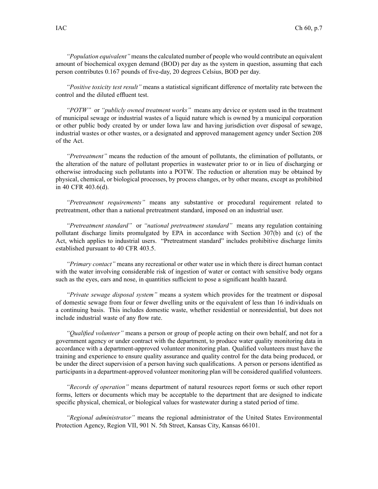*"Population equivalent"* meansthe calculated number of people who would contribute an equivalent amount of biochemical oxygen demand (BOD) per day as the system in question, assuming that each person contributes 0.167 pounds of five-day, 20 degrees Celsius, BOD per day.

*"Positive toxicity test result"* means <sup>a</sup> statistical significant difference of mortality rate between the control and the diluted effluent test.

*"POTW"* or *"publicly owned treatment works"* means any device or system used in the treatment of municipal sewage or industrial wastes of <sup>a</sup> liquid nature which is owned by <sup>a</sup> municipal corporation or other public body created by or under Iowa law and having jurisdiction over disposal of sewage, industrial wastes or other wastes, or <sup>a</sup> designated and approved managemen<sup>t</sup> agency under Section 208 of the Act.

*"Pretreatment"* means the reduction of the amount of pollutants, the elimination of pollutants, or the alteration of the nature of pollutant properties in wastewater prior to or in lieu of discharging or otherwise introducing such pollutants into <sup>a</sup> POTW. The reduction or alteration may be obtained by physical, chemical, or biological processes, by process changes, or by other means, excep<sup>t</sup> as prohibited in 40 CFR 403.6(d).

*"Pretreatment requirements"* means any substantive or procedural requirement related to pretreatment, other than <sup>a</sup> national pretreatment standard, imposed on an industrial user.

*"Pretreatment standard"* or *"national pretreatment standard"* means any regulation containing pollutant discharge limits promulgated by EPA in accordance with Section 307(b) and (c) of the Act, which applies to industrial users. "Pretreatment standard" includes prohibitive discharge limits established pursuan<sup>t</sup> to 40 CFR 403.5.

*"Primary contact"* means any recreational or other water use in which there is direct human contact with the water involving considerable risk of ingestion of water or contact with sensitive body organs such as the eyes, ears and nose, in quantities sufficient to pose <sup>a</sup> significant health hazard.

*"Private sewage disposal system"* means <sup>a</sup> system which provides for the treatment or disposal of domestic sewage from four or fewer dwelling units or the equivalent of less than 16 individuals on <sup>a</sup> continuing basis. This includes domestic waste, whether residential or nonresidential, but does not include industrial waste of any flow rate.

*"Qualified volunteer"* means <sup>a</sup> person or group of people acting on their own behalf, and not for <sup>a</sup> governmen<sup>t</sup> agency or under contract with the department, to produce water quality monitoring data in accordance with <sup>a</sup> department-approved volunteer monitoring plan. Qualified volunteers must have the training and experience to ensure quality assurance and quality control for the data being produced, or be under the direct supervision of <sup>a</sup> person having such qualifications. A person or persons identified as participants in <sup>a</sup> department-approved volunteer monitoring plan will be considered qualified volunteers.

*"Records of operation"* means department of natural resources repor<sup>t</sup> forms or such other repor<sup>t</sup> forms, letters or documents which may be acceptable to the department that are designed to indicate specific physical, chemical, or biological values for wastewater during <sup>a</sup> stated period of time.

*"Regional administrator"* means the regional administrator of the United States Environmental Protection Agency, Region VII, 901 N. 5th Street, Kansas City, Kansas 66101.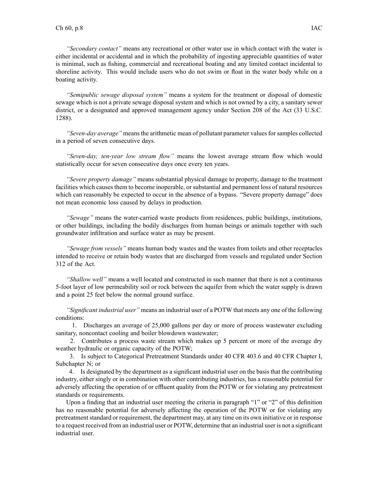*"Secondary contact"* means any recreational or other water use in which contact with the water is either incidental or accidental and in which the probability of ingesting appreciable quantities of water is minimal, such as fishing, commercial and recreational boating and any limited contact incidental to shoreline activity. This would include users who do not swim or float in the water body while on <sup>a</sup> boating activity.

*"Semipublic sewage disposal system"* means <sup>a</sup> system for the treatment or disposal of domestic sewage which is not <sup>a</sup> private sewage disposal system and which is not owned by <sup>a</sup> city, <sup>a</sup> sanitary sewer district, or <sup>a</sup> designated and approved managemen<sup>t</sup> agency under Section 208 of the Act (33 U.S.C. 1288).

*"Seven-day average*" means the arithmetic mean of pollutant parameter values for samples collected in <sup>a</sup> period of seven consecutive days.

*"Seven-day, ten-year low stream flow"* means the lowest average stream flow which would statistically occur for seven consecutive days once every ten years.

*"Severe property damage"* means substantial physical damage to property, damage to the treatment facilities which causes them to become inoperable, or substantial and permanent loss of natural resources which can reasonably be expected to occur in the absence of a bypass. "Severe property damage" does not mean economic loss caused by delays in production.

*"Sewage"* means the water-carried waste products from residences, public buildings, institutions, or other buildings, including the bodily discharges from human beings or animals together with such groundwater infiltration and surface water as may be present.

*"Sewage from vessels"* means human body wastes and the wastes from toilets and other receptacles intended to receive or retain body wastes that are discharged from vessels and regulated under Section 312 of the Act.

*"Shallow well"* means <sup>a</sup> well located and constructed in such manner that there is not <sup>a</sup> continuous 5-foot layer of low permeability soil or rock between the aquifer from which the water supply is drawn and <sup>a</sup> point 25 feet below the normal ground surface.

*"Significant industrial user"* means an industrial user of <sup>a</sup> POTW that meets any one of the following conditions:

1. Discharges an average of 25,000 gallons per day or more of process wastewater excluding sanitary, noncontact cooling and boiler blowdown wastewater;

2. Contributes <sup>a</sup> process waste stream which makes up 5 percen<sup>t</sup> or more of the average dry weather hydraulic or organic capacity of the POTW;

3. Is subject to Categorical Pretreatment Standards under 40 CFR 403.6 and 40 CFR Chapter I, Subchapter N; or

4. Is designated by the department as <sup>a</sup> significant industrial user on the basis that the contributing industry, either singly or in combination with other contributing industries, has <sup>a</sup> reasonable potential for adversely affecting the operation of or effluent quality from the POTW or for violating any pretreatment standards or requirements.

Upon <sup>a</sup> finding that an industrial user meeting the criteria in paragraph "1" or "2" of this definition has no reasonable potential for adversely affecting the operation of the POTW or for violating any pretreatment standard or requirement, the department may, at any time on its own initiative or in response to <sup>a</sup> reques<sup>t</sup> received from an industrial user or POTW, determine that an industrial user is not <sup>a</sup> significant industrial user.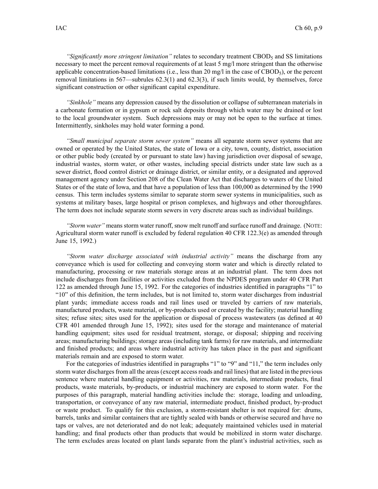*"Significantly more stringent limitation"* relates to secondary treatment CBOD<sup>5</sup> and SS limitations necessary to meet the percen<sup>t</sup> removal requirements of at least 5 mg/l more stringent than the otherwise applicable concentration-based limitations (i.e., less than 20 mg/l in the case of CBOD $_5$ ), or the percent removal limitations in 567—subrules 62.3(1) and 62.3(3), if such limits would, by themselves, force significant construction or other significant capital expenditure.

*"Sinkhole"* means any depression caused by the dissolution or collapse of subterranean materials in <sup>a</sup> carbonate formation or in gypsum or rock salt deposits through which water may be drained or lost to the local groundwater system. Such depressions may or may not be open to the surface at times. Intermittently, sinkholes may hold water forming <sup>a</sup> pond.

*"Small municipal separate storm sewer system"* means all separate storm sewer systems that are owned or operated by the United States, the state of Iowa or <sup>a</sup> city, town, county, district, association or other public body (created by or pursuan<sup>t</sup> to state law) having jurisdiction over disposal of sewage, industrial wastes, storm water, or other wastes, including special districts under state law such as <sup>a</sup> sewer district, flood control district or drainage district, or similar entity, or <sup>a</sup> designated and approved managemen<sup>t</sup> agency under Section 208 of the Clean Water Act that discharges to waters of the United States or of the state of Iowa, and that have <sup>a</sup> population of less than 100,000 as determined by the 1990 census. This term includes systems similar to separate storm sewer systems in municipalities, such as systems at military bases, large hospital or prison complexes, and highways and other thoroughfares. The term does not include separate storm sewers in very discrete areas such as individual buildings.

*"Storm water"* means storm water runoff, snow melt runoff and surface runoff and drainage. (NOTE: Agricultural storm water runoff is excluded by federal regulation 40 CFR 122.3(e) as amended through June 15, 1992.)

*"Storm water discharge associated with industrial activity"* means the discharge from any conveyance which is used for collecting and conveying storm water and which is directly related to manufacturing, processing or raw materials storage areas at an industrial plant. The term does not include discharges from facilities or activities excluded from the NPDES program under 40 CFR Part 122 as amended through June 15, 1992. For the categories of industries identified in paragraphs "1" to "10" of this definition, the term includes, but is not limited to, storm water discharges from industrial plant yards; immediate access roads and rail lines used or traveled by carriers of raw materials, manufactured products, waste material, or by-products used or created by the facility; material handling sites; refuse sites; sites used for the application or disposal of process wastewaters (as defined at 40 CFR 401 amended through June 15, 1992); sites used for the storage and maintenance of material handling equipment; sites used for residual treatment, storage, or disposal; shipping and receiving areas; manufacturing buildings; storage areas (including tank farms) for raw materials, and intermediate and finished products; and areas where industrial activity has taken place in the pas<sup>t</sup> and significant materials remain and are exposed to storm water.

For the categories of industries identified in paragraphs "1" to "9" and "11," the term includes only storm water discharges from all the areas (except access roads and rail lines) that are listed in the previous sentence where material handling equipment or activities, raw materials, intermediate products, final products, waste materials, by-products, or industrial machinery are exposed to storm water. For the purposes of this paragraph, material handling activities include the: storage, loading and unloading, transportation, or conveyance of any raw material, intermediate product, finished product, by-product or waste product. To qualify for this exclusion, <sup>a</sup> storm-resistant shelter is not required for: drums, barrels, tanks and similar containers that are tightly sealed with bands or otherwise secured and have no taps or valves, are not deteriorated and do not leak; adequately maintained vehicles used in material handling; and final products other than products that would be mobilized in storm water discharge. The term excludes areas located on plant lands separate from the plant's industrial activities, such as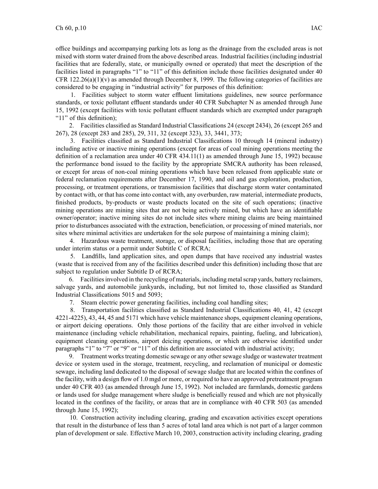office buildings and accompanying parking lots as long as the drainage from the excluded areas is not mixed with storm water drained from the above described areas. Industrial facilities (including industrial facilities that are federally, state, or municipally owned or operated) that meet the description of the facilities listed in paragraphs "1" to "11" of this definition include those facilities designated under 40 CFR 122.26(a)(1)(v) as amended through December 8, 1999. The following categories of facilities are considered to be engaging in "industrial activity" for purposes of this definition:

1. Facilities subject to storm water effluent limitations guidelines, new source performance standards, or toxic pollutant effluent standards under 40 CFR Subchapter N as amended through June 15, 1992 (except facilities with toxic pollutant effluent standards which are exempted under paragraph "11" of this definition);

2. Facilities classified as Standard Industrial Classifications 24 (except 2434), 26 (except 265 and 267), 28 (except 283 and 285), 29, 311, 32 (except 323), 33, 3441, 373;

3. Facilities classified as Standard Industrial Classifications 10 through 14 (mineral industry) including active or inactive mining operations (except for areas of coal mining operations meeting the definition of <sup>a</sup> reclamation area under 40 CFR 434.11(1) as amended through June 15, 1992) because the performance bond issued to the facility by the appropriate SMCRA authority has been released, or excep<sup>t</sup> for areas of non-coal mining operations which have been released from applicable state or federal reclamation requirements after December 17, 1990, and oil and gas exploration, production, processing, or treatment operations, or transmission facilities that discharge storm water contaminated by contact with, or that has come into contact with, any overburden, raw material, intermediate products, finished products, by-products or waste products located on the site of such operations; (inactive mining operations are mining sites that are not being actively mined, but which have an identifiable owner/operator; inactive mining sites do not include sites where mining claims are being maintained prior to disturbances associated with the extraction, beneficiation, or processing of mined materials, nor sites where minimal activities are undertaken for the sole purpose of maintaining <sup>a</sup> mining claim);

4. Hazardous waste treatment, storage, or disposal facilities, including those that are operating under interim status or <sup>a</sup> permit under Subtitle C of RCRA;

5. Landfills, land application sites, and open dumps that have received any industrial wastes (waste that is received from any of the facilities described under this definition) including those that are subject to regulation under Subtitle D of RCRA;

6. Facilitiesinvolved in the recycling of materials, including metalscrap yards, battery reclaimers, salvage yards, and automobile junkyards, including, but not limited to, those classified as Standard Industrial Classifications 5015 and 5093;

7. Steam electric power generating facilities, including coal handling sites;

8. Transportation facilities classified as Standard Industrial Classifications 40, 41, 42 (except 4221-4225), 43, 44, 45 and 5171 which have vehicle maintenance shops, equipment cleaning operations, or airport deicing operations. Only those portions of the facility that are either involved in vehicle maintenance (including vehicle rehabilitation, mechanical repairs, painting, fueling, and lubrication), equipment cleaning operations, airport deicing operations, or which are otherwise identified under paragraphs "1" to "7" or "9" or "11" of this definition are associated with industrial activity;

9. Treatment works treating domestic sewage or any other sewage sludge or wastewater treatment device or system used in the storage, treatment, recycling, and reclamation of municipal or domestic sewage, including land dedicated to the disposal of sewage sludge that are located within the confines of the facility, with <sup>a</sup> design flow of 1.0 mgd or more, or required to have an approved pretreatment program under 40 CFR 403 (as amended through June 15, 1992). Not included are farmlands, domestic gardens or lands used for sludge managemen<sup>t</sup> where sludge is beneficially reused and which are not physically located in the confines of the facility, or areas that are in compliance with 40 CFR 503 (as amended through June 15, 1992);

10. Construction activity including clearing, grading and excavation activities excep<sup>t</sup> operations that result in the disturbance of less than 5 acres of total land area which is not par<sup>t</sup> of <sup>a</sup> larger common plan of development or sale. Effective March 10, 2003, construction activity including clearing, grading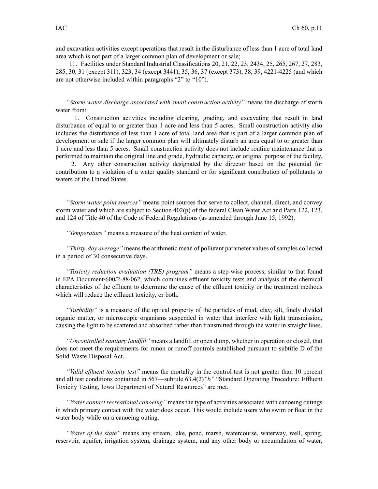and excavation activities excep<sup>t</sup> operations that result in the disturbance of less than 1 acre of total land area which is not par<sup>t</sup> of <sup>a</sup> larger common plan of development or sale;

11. Facilities under Standard Industrial Classifications 20, 21, 22, 23, 2434, 25, 265, 267, 27, 283, 285, 30, 31 (except 311), 323, 34 (except 3441), 35, 36, 37 (except 373), 38, 39, 4221-4225 (and which are not otherwise included within paragraphs "2" to "10").

*"Storm water discharge associated with small construction activity"* means the discharge of storm water from:

1. Construction activities including clearing, grading, and excavating that result in land disturbance of equal to or greater than 1 acre and less than 5 acres. Small construction activity also includes the disturbance of less than 1 acre of total land area that is par<sup>t</sup> of <sup>a</sup> larger common plan of development or sale if the larger common plan will ultimately disturb an area equal to or greater than 1 acre and less than 5 acres. Small construction activity does not include routine maintenance that is performed to maintain the original line and grade, hydraulic capacity, or original purpose of the facility.

2. Any other construction activity designated by the director based on the potential for contribution to <sup>a</sup> violation of <sup>a</sup> water quality standard or for significant contribution of pollutants to waters of the United States.

*"Storm water point sources"* means point sources that serve to collect, channel, direct, and convey storm water and which are subject to Section 402(p) of the federal Clean Water Act and Parts 122, 123, and 124 of Title 40 of the Code of Federal Regulations (as amended through June 15, 1992).

*"Temperature"* means <sup>a</sup> measure of the heat content of water.

*"Thirty-day average"* means the arithmetic mean of pollutant parameter values of samples collected in <sup>a</sup> period of 30 consecutive days.

*"Toxicity reduction evaluation (TRE) program"* means <sup>a</sup> step-wise process, similar to that found in EPA Document/600/2-88/062, which combines effluent toxicity tests and analysis of the chemical characteristics of the effluent to determine the cause of the effluent toxicity or the treatment methods which will reduce the effluent toxicity, or both.

*"Turbidity"* is <sup>a</sup> measure of the optical property of the particles of mud, clay, silt, finely divided organic matter, or microscopic organisms suspended in water that interfere with light transmission, causing the light to be scattered and absorbed rather than transmitted through the water in straight lines.

*"Uncontrolled sanitary landfill"* means <sup>a</sup> landfill or open dump, whether in operation or closed, that does not meet the requirements for runon or runoff controls established pursuan<sup>t</sup> to subtitle D of the Solid Waste Disposal Act.

*"Valid effluent toxicity test"* means the mortality in the control test is not greater than 10 percen<sup>t</sup> and all test conditions contained in 567—subrule 63.4(2)*"b"* "Standard Operating Procedure: Effluent Toxicity Testing, Iowa Department of Natural Resources" are met.

*"Water contact recreational canoeing"* means the type of activities associated with canoeing outings in which primary contact with the water does occur. This would include users who swim or float in the water body while on <sup>a</sup> canoeing outing.

*"Water of the state"* means any stream, lake, pond, marsh, watercourse, waterway, well, spring, reservoir, aquifer, irrigation system, drainage system, and any other body or accumulation of water,